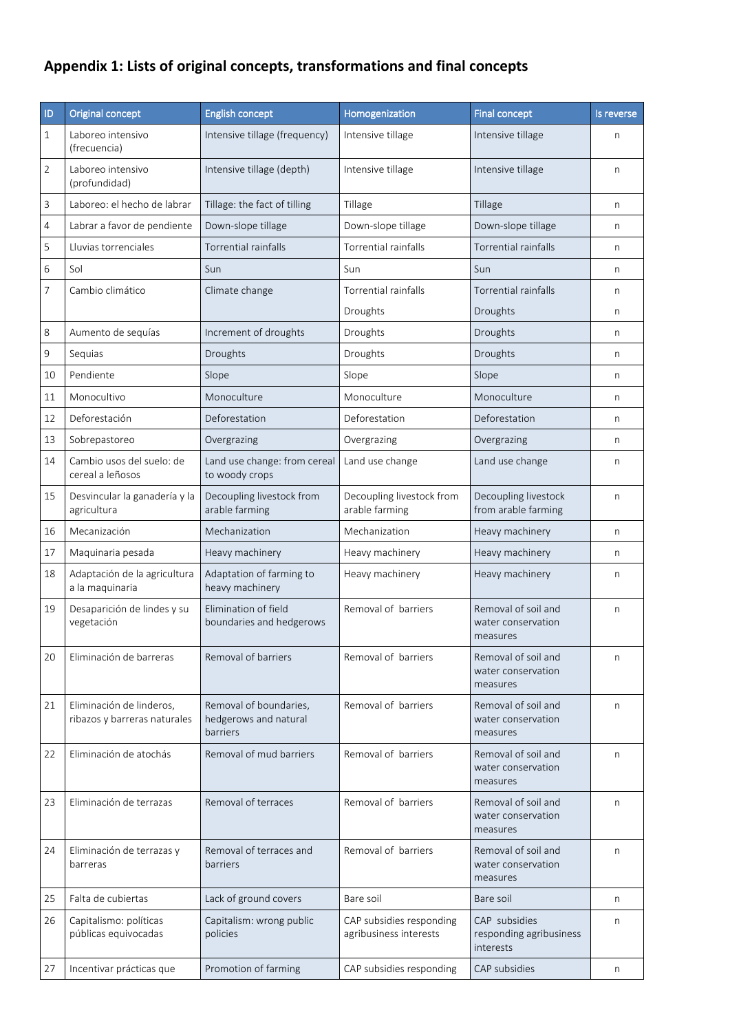## **Appendix 1: Lists of original concepts, transformations and final concepts**

| ID | Original concept                                         | <b>English concept</b>                                      | Homogenization                                     | <b>Final concept</b>                                  | Is reverse |
|----|----------------------------------------------------------|-------------------------------------------------------------|----------------------------------------------------|-------------------------------------------------------|------------|
| 1  | Laboreo intensivo<br>(frecuencia)                        | Intensive tillage (frequency)                               | Intensive tillage                                  | Intensive tillage                                     | n          |
| 2  | Laboreo intensivo<br>(profundidad)                       | Intensive tillage (depth)                                   | Intensive tillage                                  | Intensive tillage                                     | n          |
| 3  | Laboreo: el hecho de labrar                              | Tillage: the fact of tilling                                | Tillage                                            | Tillage                                               | n          |
| 4  | Labrar a favor de pendiente                              | Down-slope tillage                                          | Down-slope tillage                                 | Down-slope tillage                                    | n          |
| 5  | Lluvias torrenciales                                     | <b>Torrential rainfalls</b>                                 | Torrential rainfalls                               | <b>Torrential rainfalls</b>                           | n          |
| 6  | Sol                                                      | Sun                                                         | Sun                                                | Sun                                                   | n          |
| 7  | Cambio climático                                         | Climate change                                              | <b>Torrential rainfalls</b>                        | <b>Torrential rainfalls</b>                           | n          |
|    |                                                          |                                                             | Droughts                                           | Droughts                                              | n          |
| 8  | Aumento de sequías                                       | Increment of droughts                                       | Droughts                                           | Droughts                                              | n          |
| 9  | Sequias                                                  | Droughts                                                    | Droughts                                           | Droughts                                              | n          |
| 10 | Pendiente                                                | Slope                                                       | Slope                                              | Slope                                                 | n          |
| 11 | Monocultivo                                              | Monoculture                                                 | Monoculture                                        | Monoculture                                           | n          |
| 12 | Deforestación                                            | Deforestation                                               | Deforestation                                      | Deforestation                                         | n          |
| 13 | Sobrepastoreo                                            | Overgrazing                                                 | Overgrazing                                        | Overgrazing                                           | n          |
| 14 | Cambio usos del suelo: de<br>cereal a leñosos            | Land use change: from cereal<br>to woody crops              | Land use change                                    | Land use change                                       | n          |
| 15 | Desvincular la ganadería y la<br>agricultura             | Decoupling livestock from<br>arable farming                 | Decoupling livestock from<br>arable farming        | Decoupling livestock<br>from arable farming           | n          |
| 16 | Mecanización                                             | Mechanization                                               | Mechanization                                      | Heavy machinery                                       | n          |
| 17 | Maquinaria pesada                                        | Heavy machinery                                             | Heavy machinery                                    | Heavy machinery                                       | n          |
| 18 | Adaptación de la agricultura<br>a la maquinaria          | Adaptation of farming to<br>heavy machinery                 | Heavy machinery                                    | Heavy machinery                                       | n          |
| 19 | Desaparición de lindes y su<br>vegetación                | Elimination of field<br>boundaries and hedgerows            | Removal of barriers                                | Removal of soil and<br>water conservation<br>measures | n          |
| 20 | Eliminación de barreras                                  | Removal of barriers                                         | Removal of barriers                                | Removal of soil and<br>water conservation<br>measures | n          |
| 21 | Eliminación de linderos,<br>ribazos y barreras naturales | Removal of boundaries,<br>hedgerows and natural<br>barriers | Removal of barriers                                | Removal of soil and<br>water conservation<br>measures | n          |
| 22 | Eliminación de atochás                                   | Removal of mud barriers                                     | Removal of barriers                                | Removal of soil and<br>water conservation<br>measures | n          |
| 23 | Eliminación de terrazas                                  | Removal of terraces                                         | Removal of barriers                                | Removal of soil and<br>water conservation<br>measures | n          |
| 24 | Eliminación de terrazas y<br>barreras                    | Removal of terraces and<br>barriers                         | Removal of barriers                                | Removal of soil and<br>water conservation<br>measures | n          |
| 25 | Falta de cubiertas                                       | Lack of ground covers                                       | Bare soil                                          | Bare soil                                             | n          |
| 26 | Capitalismo: políticas<br>públicas equivocadas           | Capitalism: wrong public<br>policies                        | CAP subsidies responding<br>agribusiness interests | CAP subsidies<br>responding agribusiness<br>interests | n          |
| 27 | Incentivar prácticas que                                 | Promotion of farming                                        | CAP subsidies responding                           | CAP subsidies                                         | n          |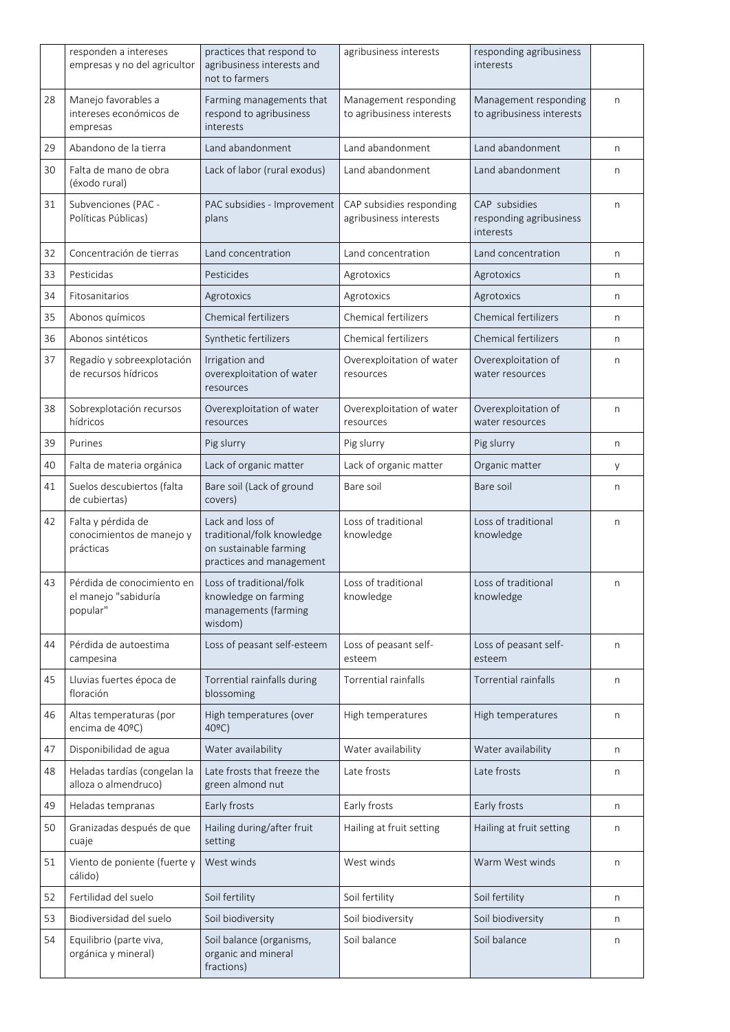|    | responden a intereses<br>empresas y no del agricultor          | practices that respond to<br>agribusiness interests and<br>not to farmers                            | agribusiness interests                             | responding agribusiness<br>interests                  |              |
|----|----------------------------------------------------------------|------------------------------------------------------------------------------------------------------|----------------------------------------------------|-------------------------------------------------------|--------------|
| 28 | Manejo favorables a<br>intereses económicos de<br>empresas     | Farming managements that<br>respond to agribusiness<br>interests                                     | Management responding<br>to agribusiness interests | Management responding<br>to agribusiness interests    | n            |
| 29 | Abandono de la tierra                                          | Land abandonment                                                                                     | Land abandonment                                   | Land abandonment                                      | n            |
| 30 | Falta de mano de obra<br>(éxodo rural)                         | Lack of labor (rural exodus)                                                                         | Land abandonment                                   | Land abandonment                                      | n            |
| 31 | Subvenciones (PAC -<br>Políticas Públicas)                     | PAC subsidies - Improvement<br>plans                                                                 | CAP subsidies responding<br>agribusiness interests | CAP subsidies<br>responding agribusiness<br>interests | n            |
| 32 | Concentración de tierras                                       | Land concentration                                                                                   | Land concentration                                 | Land concentration                                    | n            |
| 33 | Pesticidas                                                     | Pesticides                                                                                           | Agrotoxics                                         | Agrotoxics                                            | n            |
| 34 | Fitosanitarios                                                 | Agrotoxics                                                                                           | Agrotoxics                                         | Agrotoxics                                            | n            |
| 35 | Abonos químicos                                                | Chemical fertilizers                                                                                 | Chemical fertilizers                               | Chemical fertilizers                                  | n            |
| 36 | Abonos sintéticos                                              | Synthetic fertilizers                                                                                | Chemical fertilizers                               | <b>Chemical fertilizers</b>                           | n            |
| 37 | Regadío y sobreexplotación<br>de recursos hídricos             | Irrigation and<br>overexploitation of water<br>resources                                             | Overexploitation of water<br>resources             | Overexploitation of<br>water resources                | $\mathsf{n}$ |
| 38 | Sobrexplotación recursos<br>hídricos                           | Overexploitation of water<br>resources                                                               | Overexploitation of water<br>resources             | Overexploitation of<br>water resources                | n            |
| 39 | Purines                                                        | Pig slurry                                                                                           | Pig slurry                                         | Pig slurry                                            | n            |
| 40 | Falta de materia orgánica                                      | Lack of organic matter                                                                               | Lack of organic matter                             | Organic matter                                        | y            |
| 41 | Suelos descubiertos (falta<br>de cubiertas)                    | Bare soil (Lack of ground<br>covers)                                                                 | Bare soil                                          | Bare soil                                             | n            |
| 42 | Falta y pérdida de<br>conocimientos de manejo y<br>prácticas   | Lack and loss of<br>traditional/folk knowledge<br>on sustainable farming<br>practices and management | Loss of traditional<br>knowledge                   | Loss of traditional<br>knowledge                      | n            |
| 43 | Pérdida de conocimiento en<br>el manejo "sabiduría<br>popular" | Loss of traditional/folk<br>knowledge on farming<br>managements (farming<br>wisdom)                  | Loss of traditional<br>knowledge                   | Loss of traditional<br>knowledge                      | n            |
| 44 | Pérdida de autoestima<br>campesina                             | Loss of peasant self-esteem                                                                          | Loss of peasant self-<br>esteem                    | Loss of peasant self-<br>esteem                       | n            |
| 45 | Lluvias fuertes época de<br>floración                          | Torrential rainfalls during<br>blossoming                                                            | Torrential rainfalls                               | Torrential rainfalls                                  | n            |
| 46 | Altas temperaturas (por<br>encima de 40ºC)                     | High temperatures (over<br>40°C)                                                                     | High temperatures                                  | High temperatures                                     | n            |
| 47 | Disponibilidad de agua                                         | Water availability                                                                                   | Water availability                                 | Water availability                                    | n            |
| 48 | Heladas tardías (congelan la<br>alloza o almendruco)           | Late frosts that freeze the<br>green almond nut                                                      | Late frosts                                        | Late frosts                                           | n            |
| 49 | Heladas tempranas                                              | Early frosts                                                                                         | Early frosts                                       | Early frosts                                          | n            |
| 50 | Granizadas después de que<br>cuaje                             | Hailing during/after fruit<br>setting                                                                | Hailing at fruit setting                           | Hailing at fruit setting                              | n            |
| 51 | Viento de poniente (fuerte y<br>cálido)                        | West winds                                                                                           | West winds                                         | Warm West winds                                       | n            |
| 52 | Fertilidad del suelo                                           | Soil fertility                                                                                       | Soil fertility                                     | Soil fertility                                        | n            |
| 53 | Biodiversidad del suelo                                        | Soil biodiversity                                                                                    | Soil biodiversity                                  | Soil biodiversity                                     | n            |
| 54 | Equilibrio (parte viva,<br>orgánica y mineral)                 | Soil balance (organisms,<br>organic and mineral<br>fractions)                                        | Soil balance                                       | Soil balance                                          | n            |
|    |                                                                |                                                                                                      |                                                    |                                                       |              |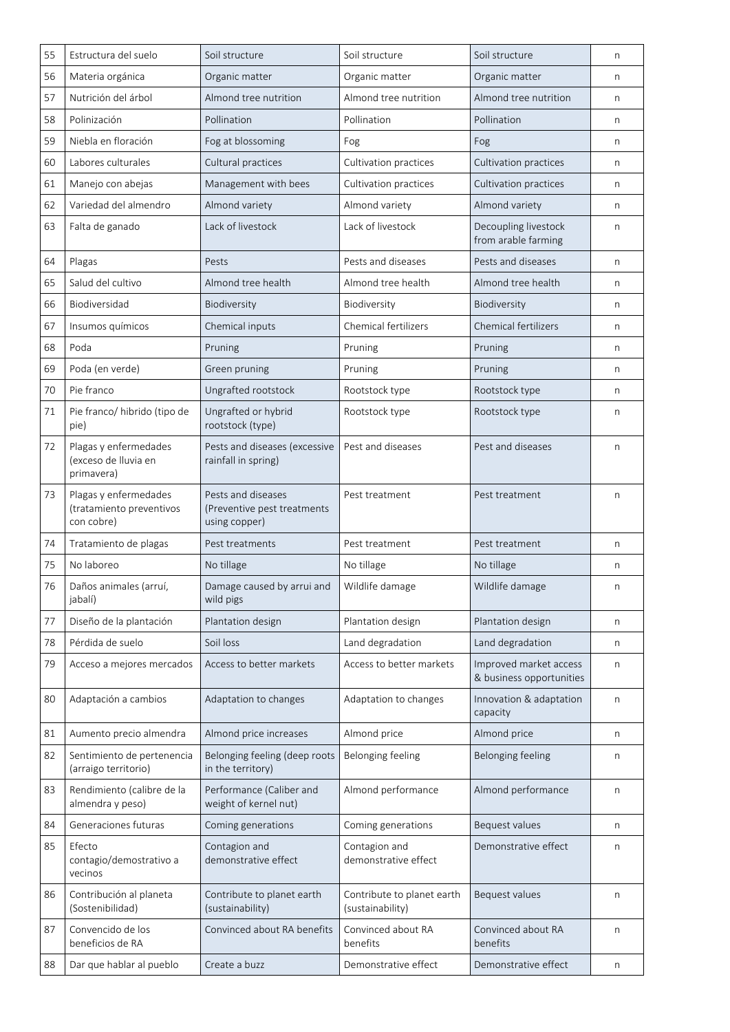| 55 | Estructura del suelo                                            | Soil structure                                                     | Soil structure                                 | Soil structure                                     | n |
|----|-----------------------------------------------------------------|--------------------------------------------------------------------|------------------------------------------------|----------------------------------------------------|---|
| 56 | Materia orgánica                                                | Organic matter                                                     | Organic matter                                 | Organic matter                                     | n |
| 57 | Nutrición del árbol                                             | Almond tree nutrition                                              | Almond tree nutrition                          | Almond tree nutrition                              | n |
| 58 | Polinización                                                    | Pollination                                                        | Pollination                                    | Pollination                                        | n |
| 59 | Niebla en floración                                             | Fog at blossoming                                                  | Fog                                            | Fog                                                | n |
| 60 | Labores culturales                                              | Cultural practices                                                 | Cultivation practices                          | Cultivation practices                              | n |
| 61 | Manejo con abejas                                               | Management with bees                                               | Cultivation practices                          | Cultivation practices                              | n |
| 62 | Variedad del almendro                                           | Almond variety                                                     | Almond variety                                 | Almond variety                                     | n |
| 63 | Falta de ganado                                                 | Lack of livestock                                                  | Lack of livestock                              | Decoupling livestock<br>from arable farming        | n |
| 64 | Plagas                                                          | Pests                                                              | Pests and diseases                             | Pests and diseases                                 | n |
| 65 | Salud del cultivo                                               | Almond tree health                                                 | Almond tree health                             | Almond tree health                                 | n |
| 66 | Biodiversidad                                                   | Biodiversity                                                       | Biodiversity                                   | Biodiversity                                       | n |
| 67 | Insumos químicos                                                | Chemical inputs                                                    | Chemical fertilizers                           | <b>Chemical fertilizers</b>                        | n |
| 68 | Poda                                                            | Pruning                                                            | Pruning                                        | Pruning                                            | n |
| 69 | Poda (en verde)                                                 | Green pruning                                                      | Pruning                                        | Pruning                                            | n |
| 70 | Pie franco                                                      | Ungrafted rootstock                                                | Rootstock type                                 | Rootstock type                                     | n |
| 71 | Pie franco/ hibrido (tipo de<br>pie)                            | Ungrafted or hybrid<br>rootstock (type)                            | Rootstock type                                 | Rootstock type                                     | n |
| 72 | Plagas y enfermedades<br>(exceso de lluvia en<br>primavera)     | Pests and diseases (excessive<br>rainfall in spring)               | Pest and diseases                              | Pest and diseases                                  | n |
| 73 | Plagas y enfermedades<br>(tratamiento preventivos<br>con cobre) | Pests and diseases<br>(Preventive pest treatments<br>using copper) | Pest treatment                                 | Pest treatment                                     | n |
| 74 | Tratamiento de plagas                                           | Pest treatments                                                    | Pest treatment                                 | Pest treatment                                     | n |
| 75 | No laboreo                                                      | No tillage                                                         | No tillage                                     | No tillage                                         | n |
| 76 | Daños animales (arruí,<br>jabalí)                               | Damage caused by arrui and<br>wild pigs                            | Wildlife damage                                | Wildlife damage                                    | n |
| 77 | Diseño de la plantación                                         | Plantation design                                                  | Plantation design                              | Plantation design                                  | n |
| 78 | Pérdida de suelo                                                | Soil loss                                                          | Land degradation                               | Land degradation                                   | n |
| 79 | Acceso a mejores mercados                                       | Access to better markets                                           | Access to better markets                       | Improved market access<br>& business opportunities | n |
| 80 | Adaptación a cambios                                            | Adaptation to changes                                              | Adaptation to changes                          | Innovation & adaptation<br>capacity                | n |
| 81 | Aumento precio almendra                                         | Almond price increases                                             | Almond price                                   | Almond price                                       | n |
| 82 | Sentimiento de pertenencia<br>(arraigo territorio)              | Belonging feeling (deep roots<br>in the territory)                 | Belonging feeling                              | <b>Belonging feeling</b>                           | n |
| 83 | Rendimiento (calibre de la<br>almendra y peso)                  | Performance (Caliber and<br>weight of kernel nut)                  | Almond performance                             | Almond performance                                 | n |
| 84 | Generaciones futuras                                            | Coming generations                                                 | Coming generations                             | Bequest values                                     | n |
| 85 | Efecto<br>contagio/demostrativo a<br>vecinos                    | Contagion and<br>demonstrative effect                              | Contagion and<br>demonstrative effect          | Demonstrative effect                               | n |
| 86 | Contribución al planeta<br>(Sostenibilidad)                     | Contribute to planet earth<br>(sustainability)                     | Contribute to planet earth<br>(sustainability) | Bequest values                                     | n |
| 87 | Convencido de los<br>beneficios de RA                           | Convinced about RA benefits                                        | Convinced about RA<br>benefits                 | Convinced about RA<br>benefits                     | n |
| 88 | Dar que hablar al pueblo                                        | Create a buzz                                                      | Demonstrative effect                           | Demonstrative effect                               | n |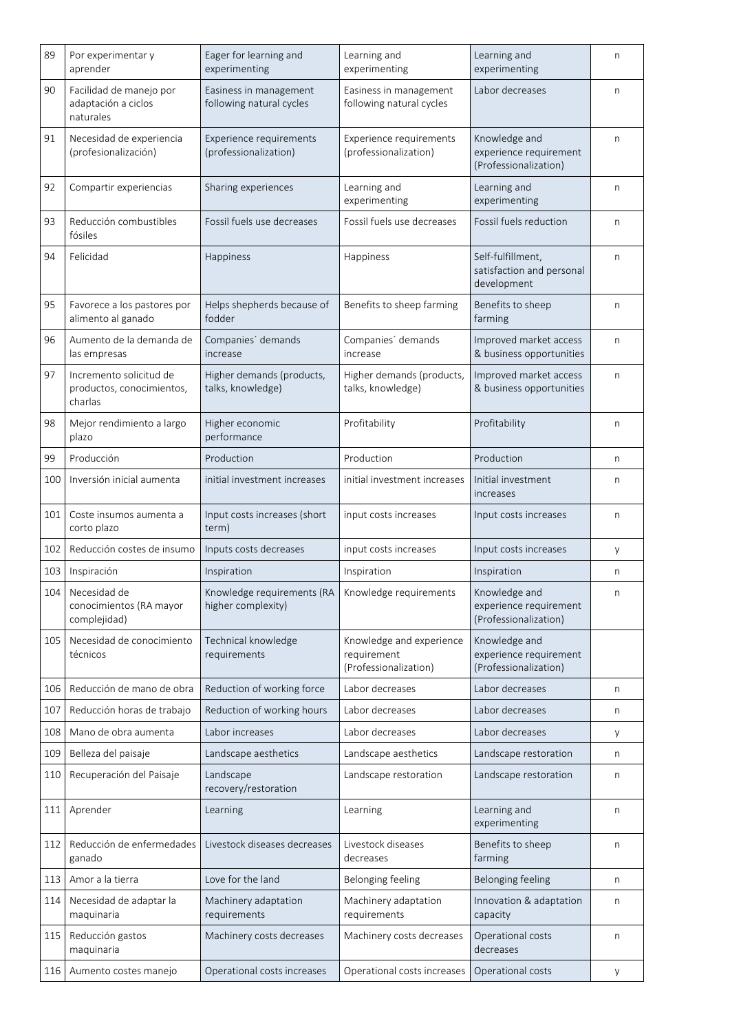| 89  | Por experimentar y<br>aprender                                  | Eager for learning and<br>experimenting                                   | Learning and<br>experimenting                                    | Learning and<br>experimenting                                    | n |
|-----|-----------------------------------------------------------------|---------------------------------------------------------------------------|------------------------------------------------------------------|------------------------------------------------------------------|---|
| 90  | Facilidad de manejo por<br>adaptación a ciclos<br>naturales     | Easiness in management<br>following natural cycles                        | Easiness in management<br>following natural cycles               | Labor decreases                                                  | n |
| 91  | Necesidad de experiencia<br>(profesionalización)                | Experience requirements<br>(professionalization)                          | Experience requirements<br>(professionalization)                 | Knowledge and<br>experience requirement<br>(Professionalization) | n |
| 92  | Compartir experiencias                                          | Sharing experiences                                                       | Learning and<br>experimenting                                    | Learning and<br>experimenting                                    | n |
| 93  | Reducción combustibles<br>fósiles                               | Fossil fuels use decreases                                                | Fossil fuels use decreases                                       | Fossil fuels reduction                                           | n |
| 94  | Felicidad                                                       | Happiness                                                                 | Happiness                                                        | Self-fulfillment,<br>satisfaction and personal<br>development    | n |
| 95  | Favorece a los pastores por<br>alimento al ganado               | Helps shepherds because of<br>fodder                                      | Benefits to sheep farming                                        | Benefits to sheep<br>farming                                     | n |
| 96  | Aumento de la demanda de<br>las empresas                        | Companies' demands<br>increase                                            | Companies' demands<br>increase                                   | Improved market access<br>& business opportunities               | n |
| 97  | Incremento solicitud de<br>productos, conocimientos,<br>charlas | Higher demands (products,<br>talks, knowledge)                            | Higher demands (products,<br>talks, knowledge)                   | Improved market access<br>& business opportunities               | n |
| 98  | Mejor rendimiento a largo<br>plazo                              | Higher economic<br>performance                                            | Profitability                                                    | Profitability                                                    | n |
| 99  | Producción                                                      | Production                                                                | Production                                                       | Production                                                       | n |
| 100 | Inversión inicial aumenta                                       | initial investment increases                                              | initial investment increases                                     | Initial investment<br>increases                                  | n |
| 101 | Coste insumos aumenta a<br>corto plazo                          | Input costs increases (short<br>term)                                     | input costs increases                                            | Input costs increases                                            | n |
| 102 | Reducción costes de insumo                                      | Inputs costs decreases                                                    | input costs increases                                            | Input costs increases                                            | у |
| 103 | Inspiración                                                     | Inspiration                                                               | Inspiration                                                      | Inspiration                                                      | n |
| 104 | Necesidad de<br>conocimientos (RA mayor<br>complejidad)         | Knowledge requirements (RA   Knowledge requirements<br>higher complexity) |                                                                  | Knowledge and<br>experience requirement<br>(Professionalization) | n |
| 105 | Necesidad de conocimiento<br>técnicos                           | Technical knowledge<br>requirements                                       | Knowledge and experience<br>requirement<br>(Professionalization) | Knowledge and<br>experience requirement<br>(Professionalization) |   |
| 106 | Reducción de mano de obra                                       | Reduction of working force                                                | Labor decreases                                                  | Labor decreases                                                  | n |
| 107 | Reducción horas de trabajo                                      | Reduction of working hours                                                | Labor decreases                                                  | Labor decreases                                                  | n |
| 108 | Mano de obra aumenta                                            | Labor increases                                                           | Labor decreases                                                  | Labor decreases                                                  | у |
| 109 | Belleza del paisaje                                             | Landscape aesthetics                                                      | Landscape aesthetics                                             | Landscape restoration                                            | n |
| 110 | Recuperación del Paisaje                                        | Landscape<br>recovery/restoration                                         | Landscape restoration                                            | Landscape restoration                                            | n |
| 111 | Aprender                                                        | Learning                                                                  | Learning                                                         | Learning and<br>experimenting                                    | n |
| 112 | Reducción de enfermedades<br>ganado                             | Livestock diseases decreases                                              | Livestock diseases<br>decreases                                  | Benefits to sheep<br>farming                                     | n |
| 113 | Amor a la tierra                                                | Love for the land                                                         | Belonging feeling                                                | Belonging feeling                                                | n |
| 114 | Necesidad de adaptar la<br>maquinaria                           | Machinery adaptation<br>requirements                                      | Machinery adaptation<br>requirements                             | Innovation & adaptation<br>capacity                              | n |
| 115 | Reducción gastos<br>maquinaria                                  | Machinery costs decreases                                                 | Machinery costs decreases                                        | Operational costs<br>decreases                                   | n |
| 116 | Aumento costes manejo                                           | Operational costs increases                                               | Operational costs increases                                      | Operational costs                                                | у |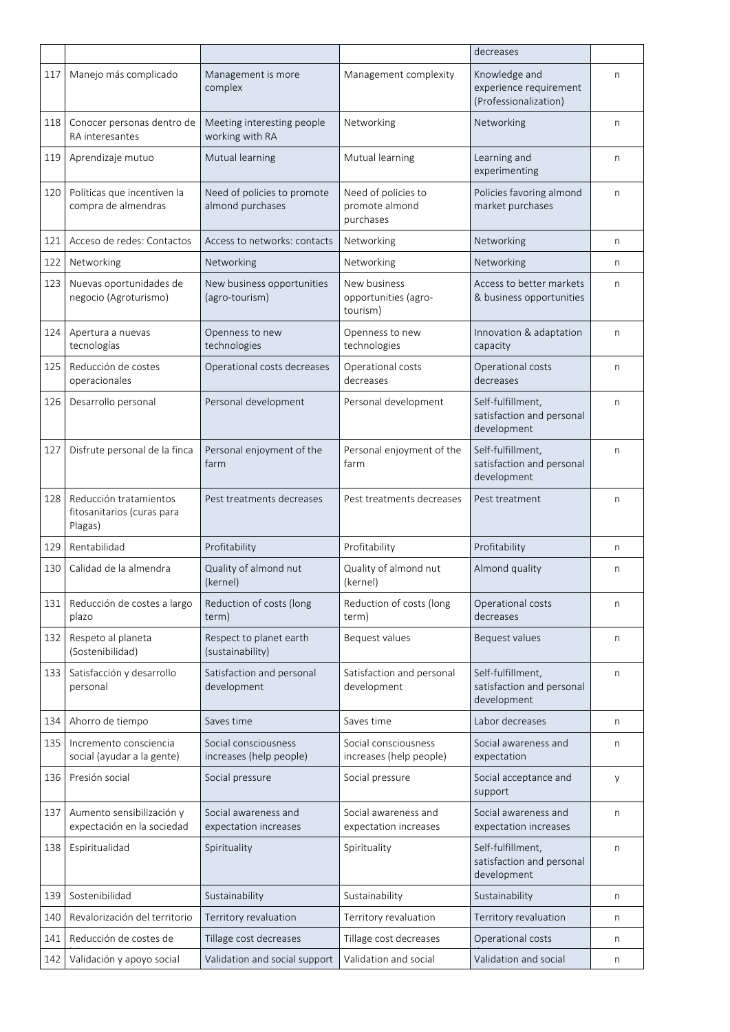| Knowledge and<br>Manejo más complicado<br>Management is more<br>Management complexity<br>117<br>n<br>complex<br>experience requirement<br>(Professionalization)<br>Conocer personas dentro de<br>Networking<br>Networking<br>Meeting interesting people<br>118<br>n<br>working with RA<br>RA interesantes<br>Mutual learning<br>Mutual learning<br>Aprendizaje mutuo<br>Learning and<br>119<br>n<br>experimenting<br>Políticas que incentiven la<br>Need of policies to promote<br>Need of policies to<br>Policies favoring almond<br>120<br>n<br>compra de almendras<br>almond purchases<br>promote almond<br>market purchases<br>purchases<br>Acceso de redes: Contactos<br>Access to networks: contacts<br>Networking<br>121<br>Networking<br>n<br>Networking<br>Networking<br>Networking<br>122<br>Networking<br>n<br>Nuevas oportunidades de<br>New business opportunities<br>New business<br>Access to better markets<br>123<br>n<br>negocio (Agroturismo)<br>(agro-tourism)<br>opportunities (agro-<br>& business opportunities<br>tourism)<br>Openness to new<br>Openness to new<br>Apertura a nuevas<br>Innovation & adaptation<br>124<br>n<br>tecnologías<br>technologies<br>technologies<br>capacity<br>Reducción de costes<br>Operational costs<br>Operational costs<br>125<br>Operational costs decreases<br>n<br>operacionales<br>decreases<br>decreases<br>Self-fulfillment,<br>Desarrollo personal<br>Personal development<br>Personal development<br>126<br>n<br>satisfaction and personal<br>development<br>Disfrute personal de la finca<br>Self-fulfillment,<br>127<br>Personal enjoyment of the<br>Personal enjoyment of the<br>n<br>satisfaction and personal<br>farm<br>farm<br>development<br>Reducción tratamientos<br>Pest treatments decreases<br>Pest treatments decreases<br>128<br>Pest treatment<br>n<br>fitosanitarios (curas para<br>Plagas)<br>Rentabilidad<br>Profitability<br>Profitability<br>Profitability<br>129<br>n<br>Calidad de la almendra<br>Quality of almond nut<br>Quality of almond nut<br>130<br>Almond quality<br>n<br>(kernel)<br>(kernel)<br>Reducción de costes a largo<br>Reduction of costs (long<br>Reduction of costs (long<br>Operational costs<br>131<br>n<br>decreases<br>plazo<br>term)<br>term)<br>Respeto al planeta<br>Respect to planet earth<br>Bequest values<br>Bequest values<br>132<br>n<br>(Sostenibilidad)<br>(sustainability)<br>Satisfacción y desarrollo<br>Satisfaction and personal<br>Satisfaction and personal<br>Self-fulfillment.<br>133<br>n<br>satisfaction and personal<br>development<br>personal<br>development<br>development<br>Ahorro de tiempo<br>Saves time<br>Labor decreases<br>134<br>Saves time<br>n<br>Incremento consciencia<br>Social consciousness<br>Social consciousness<br>Social awareness and<br>135<br>n<br>social (ayudar a la gente)<br>increases (help people)<br>increases (help people)<br>expectation<br>Presión social<br>136<br>Social pressure<br>Social pressure<br>Social acceptance and<br>y<br>support<br>Social awareness and<br>Aumento sensibilización y<br>Social awareness and<br>Social awareness and<br>137<br>n<br>expectación en la sociedad<br>expectation increases<br>expectation increases<br>expectation increases<br>Espiritualidad<br>Self-fulfillment,<br>138<br>Spirituality<br>Spirituality<br>n<br>satisfaction and personal<br>development<br>Sostenibilidad<br>Sustainability<br>Sustainability<br>139<br>Sustainability<br>n<br>Revalorización del territorio<br>140<br>Territory revaluation<br>Territory revaluation<br>Territory revaluation<br>n<br>141<br>Reducción de costes de<br>Tillage cost decreases<br>Tillage cost decreases<br>Operational costs<br>n<br>Validation and social support<br>Validation and social<br>Validation and social<br>142<br>Validación y apoyo social<br>n |  |  | decreases |  |
|-----------------------------------------------------------------------------------------------------------------------------------------------------------------------------------------------------------------------------------------------------------------------------------------------------------------------------------------------------------------------------------------------------------------------------------------------------------------------------------------------------------------------------------------------------------------------------------------------------------------------------------------------------------------------------------------------------------------------------------------------------------------------------------------------------------------------------------------------------------------------------------------------------------------------------------------------------------------------------------------------------------------------------------------------------------------------------------------------------------------------------------------------------------------------------------------------------------------------------------------------------------------------------------------------------------------------------------------------------------------------------------------------------------------------------------------------------------------------------------------------------------------------------------------------------------------------------------------------------------------------------------------------------------------------------------------------------------------------------------------------------------------------------------------------------------------------------------------------------------------------------------------------------------------------------------------------------------------------------------------------------------------------------------------------------------------------------------------------------------------------------------------------------------------------------------------------------------------------------------------------------------------------------------------------------------------------------------------------------------------------------------------------------------------------------------------------------------------------------------------------------------------------------------------------------------------------------------------------------------------------------------------------------------------------------------------------------------------------------------------------------------------------------------------------------------------------------------------------------------------------------------------------------------------------------------------------------------------------------------------------------------------------------------------------------------------------------------------------------------------------------------------------------------------------------------------------------------------------------------------------------------------------------------------------------------------------------------------------------------------------------------------------------------------------------------------------------------------------------------------------------------------------------------------------------------------------------------------------------------------------------------------------------------------------------------------------------------------------------------------------------------------------------------------------------------------------------------------------|--|--|-----------|--|
|                                                                                                                                                                                                                                                                                                                                                                                                                                                                                                                                                                                                                                                                                                                                                                                                                                                                                                                                                                                                                                                                                                                                                                                                                                                                                                                                                                                                                                                                                                                                                                                                                                                                                                                                                                                                                                                                                                                                                                                                                                                                                                                                                                                                                                                                                                                                                                                                                                                                                                                                                                                                                                                                                                                                                                                                                                                                                                                                                                                                                                                                                                                                                                                                                                                                                                                                                                                                                                                                                                                                                                                                                                                                                                                                                                                                                                               |  |  |           |  |
|                                                                                                                                                                                                                                                                                                                                                                                                                                                                                                                                                                                                                                                                                                                                                                                                                                                                                                                                                                                                                                                                                                                                                                                                                                                                                                                                                                                                                                                                                                                                                                                                                                                                                                                                                                                                                                                                                                                                                                                                                                                                                                                                                                                                                                                                                                                                                                                                                                                                                                                                                                                                                                                                                                                                                                                                                                                                                                                                                                                                                                                                                                                                                                                                                                                                                                                                                                                                                                                                                                                                                                                                                                                                                                                                                                                                                                               |  |  |           |  |
|                                                                                                                                                                                                                                                                                                                                                                                                                                                                                                                                                                                                                                                                                                                                                                                                                                                                                                                                                                                                                                                                                                                                                                                                                                                                                                                                                                                                                                                                                                                                                                                                                                                                                                                                                                                                                                                                                                                                                                                                                                                                                                                                                                                                                                                                                                                                                                                                                                                                                                                                                                                                                                                                                                                                                                                                                                                                                                                                                                                                                                                                                                                                                                                                                                                                                                                                                                                                                                                                                                                                                                                                                                                                                                                                                                                                                                               |  |  |           |  |
|                                                                                                                                                                                                                                                                                                                                                                                                                                                                                                                                                                                                                                                                                                                                                                                                                                                                                                                                                                                                                                                                                                                                                                                                                                                                                                                                                                                                                                                                                                                                                                                                                                                                                                                                                                                                                                                                                                                                                                                                                                                                                                                                                                                                                                                                                                                                                                                                                                                                                                                                                                                                                                                                                                                                                                                                                                                                                                                                                                                                                                                                                                                                                                                                                                                                                                                                                                                                                                                                                                                                                                                                                                                                                                                                                                                                                                               |  |  |           |  |
|                                                                                                                                                                                                                                                                                                                                                                                                                                                                                                                                                                                                                                                                                                                                                                                                                                                                                                                                                                                                                                                                                                                                                                                                                                                                                                                                                                                                                                                                                                                                                                                                                                                                                                                                                                                                                                                                                                                                                                                                                                                                                                                                                                                                                                                                                                                                                                                                                                                                                                                                                                                                                                                                                                                                                                                                                                                                                                                                                                                                                                                                                                                                                                                                                                                                                                                                                                                                                                                                                                                                                                                                                                                                                                                                                                                                                                               |  |  |           |  |
|                                                                                                                                                                                                                                                                                                                                                                                                                                                                                                                                                                                                                                                                                                                                                                                                                                                                                                                                                                                                                                                                                                                                                                                                                                                                                                                                                                                                                                                                                                                                                                                                                                                                                                                                                                                                                                                                                                                                                                                                                                                                                                                                                                                                                                                                                                                                                                                                                                                                                                                                                                                                                                                                                                                                                                                                                                                                                                                                                                                                                                                                                                                                                                                                                                                                                                                                                                                                                                                                                                                                                                                                                                                                                                                                                                                                                                               |  |  |           |  |
|                                                                                                                                                                                                                                                                                                                                                                                                                                                                                                                                                                                                                                                                                                                                                                                                                                                                                                                                                                                                                                                                                                                                                                                                                                                                                                                                                                                                                                                                                                                                                                                                                                                                                                                                                                                                                                                                                                                                                                                                                                                                                                                                                                                                                                                                                                                                                                                                                                                                                                                                                                                                                                                                                                                                                                                                                                                                                                                                                                                                                                                                                                                                                                                                                                                                                                                                                                                                                                                                                                                                                                                                                                                                                                                                                                                                                                               |  |  |           |  |
|                                                                                                                                                                                                                                                                                                                                                                                                                                                                                                                                                                                                                                                                                                                                                                                                                                                                                                                                                                                                                                                                                                                                                                                                                                                                                                                                                                                                                                                                                                                                                                                                                                                                                                                                                                                                                                                                                                                                                                                                                                                                                                                                                                                                                                                                                                                                                                                                                                                                                                                                                                                                                                                                                                                                                                                                                                                                                                                                                                                                                                                                                                                                                                                                                                                                                                                                                                                                                                                                                                                                                                                                                                                                                                                                                                                                                                               |  |  |           |  |
|                                                                                                                                                                                                                                                                                                                                                                                                                                                                                                                                                                                                                                                                                                                                                                                                                                                                                                                                                                                                                                                                                                                                                                                                                                                                                                                                                                                                                                                                                                                                                                                                                                                                                                                                                                                                                                                                                                                                                                                                                                                                                                                                                                                                                                                                                                                                                                                                                                                                                                                                                                                                                                                                                                                                                                                                                                                                                                                                                                                                                                                                                                                                                                                                                                                                                                                                                                                                                                                                                                                                                                                                                                                                                                                                                                                                                                               |  |  |           |  |
|                                                                                                                                                                                                                                                                                                                                                                                                                                                                                                                                                                                                                                                                                                                                                                                                                                                                                                                                                                                                                                                                                                                                                                                                                                                                                                                                                                                                                                                                                                                                                                                                                                                                                                                                                                                                                                                                                                                                                                                                                                                                                                                                                                                                                                                                                                                                                                                                                                                                                                                                                                                                                                                                                                                                                                                                                                                                                                                                                                                                                                                                                                                                                                                                                                                                                                                                                                                                                                                                                                                                                                                                                                                                                                                                                                                                                                               |  |  |           |  |
|                                                                                                                                                                                                                                                                                                                                                                                                                                                                                                                                                                                                                                                                                                                                                                                                                                                                                                                                                                                                                                                                                                                                                                                                                                                                                                                                                                                                                                                                                                                                                                                                                                                                                                                                                                                                                                                                                                                                                                                                                                                                                                                                                                                                                                                                                                                                                                                                                                                                                                                                                                                                                                                                                                                                                                                                                                                                                                                                                                                                                                                                                                                                                                                                                                                                                                                                                                                                                                                                                                                                                                                                                                                                                                                                                                                                                                               |  |  |           |  |
|                                                                                                                                                                                                                                                                                                                                                                                                                                                                                                                                                                                                                                                                                                                                                                                                                                                                                                                                                                                                                                                                                                                                                                                                                                                                                                                                                                                                                                                                                                                                                                                                                                                                                                                                                                                                                                                                                                                                                                                                                                                                                                                                                                                                                                                                                                                                                                                                                                                                                                                                                                                                                                                                                                                                                                                                                                                                                                                                                                                                                                                                                                                                                                                                                                                                                                                                                                                                                                                                                                                                                                                                                                                                                                                                                                                                                                               |  |  |           |  |
|                                                                                                                                                                                                                                                                                                                                                                                                                                                                                                                                                                                                                                                                                                                                                                                                                                                                                                                                                                                                                                                                                                                                                                                                                                                                                                                                                                                                                                                                                                                                                                                                                                                                                                                                                                                                                                                                                                                                                                                                                                                                                                                                                                                                                                                                                                                                                                                                                                                                                                                                                                                                                                                                                                                                                                                                                                                                                                                                                                                                                                                                                                                                                                                                                                                                                                                                                                                                                                                                                                                                                                                                                                                                                                                                                                                                                                               |  |  |           |  |
|                                                                                                                                                                                                                                                                                                                                                                                                                                                                                                                                                                                                                                                                                                                                                                                                                                                                                                                                                                                                                                                                                                                                                                                                                                                                                                                                                                                                                                                                                                                                                                                                                                                                                                                                                                                                                                                                                                                                                                                                                                                                                                                                                                                                                                                                                                                                                                                                                                                                                                                                                                                                                                                                                                                                                                                                                                                                                                                                                                                                                                                                                                                                                                                                                                                                                                                                                                                                                                                                                                                                                                                                                                                                                                                                                                                                                                               |  |  |           |  |
|                                                                                                                                                                                                                                                                                                                                                                                                                                                                                                                                                                                                                                                                                                                                                                                                                                                                                                                                                                                                                                                                                                                                                                                                                                                                                                                                                                                                                                                                                                                                                                                                                                                                                                                                                                                                                                                                                                                                                                                                                                                                                                                                                                                                                                                                                                                                                                                                                                                                                                                                                                                                                                                                                                                                                                                                                                                                                                                                                                                                                                                                                                                                                                                                                                                                                                                                                                                                                                                                                                                                                                                                                                                                                                                                                                                                                                               |  |  |           |  |
|                                                                                                                                                                                                                                                                                                                                                                                                                                                                                                                                                                                                                                                                                                                                                                                                                                                                                                                                                                                                                                                                                                                                                                                                                                                                                                                                                                                                                                                                                                                                                                                                                                                                                                                                                                                                                                                                                                                                                                                                                                                                                                                                                                                                                                                                                                                                                                                                                                                                                                                                                                                                                                                                                                                                                                                                                                                                                                                                                                                                                                                                                                                                                                                                                                                                                                                                                                                                                                                                                                                                                                                                                                                                                                                                                                                                                                               |  |  |           |  |
|                                                                                                                                                                                                                                                                                                                                                                                                                                                                                                                                                                                                                                                                                                                                                                                                                                                                                                                                                                                                                                                                                                                                                                                                                                                                                                                                                                                                                                                                                                                                                                                                                                                                                                                                                                                                                                                                                                                                                                                                                                                                                                                                                                                                                                                                                                                                                                                                                                                                                                                                                                                                                                                                                                                                                                                                                                                                                                                                                                                                                                                                                                                                                                                                                                                                                                                                                                                                                                                                                                                                                                                                                                                                                                                                                                                                                                               |  |  |           |  |
|                                                                                                                                                                                                                                                                                                                                                                                                                                                                                                                                                                                                                                                                                                                                                                                                                                                                                                                                                                                                                                                                                                                                                                                                                                                                                                                                                                                                                                                                                                                                                                                                                                                                                                                                                                                                                                                                                                                                                                                                                                                                                                                                                                                                                                                                                                                                                                                                                                                                                                                                                                                                                                                                                                                                                                                                                                                                                                                                                                                                                                                                                                                                                                                                                                                                                                                                                                                                                                                                                                                                                                                                                                                                                                                                                                                                                                               |  |  |           |  |
|                                                                                                                                                                                                                                                                                                                                                                                                                                                                                                                                                                                                                                                                                                                                                                                                                                                                                                                                                                                                                                                                                                                                                                                                                                                                                                                                                                                                                                                                                                                                                                                                                                                                                                                                                                                                                                                                                                                                                                                                                                                                                                                                                                                                                                                                                                                                                                                                                                                                                                                                                                                                                                                                                                                                                                                                                                                                                                                                                                                                                                                                                                                                                                                                                                                                                                                                                                                                                                                                                                                                                                                                                                                                                                                                                                                                                                               |  |  |           |  |
|                                                                                                                                                                                                                                                                                                                                                                                                                                                                                                                                                                                                                                                                                                                                                                                                                                                                                                                                                                                                                                                                                                                                                                                                                                                                                                                                                                                                                                                                                                                                                                                                                                                                                                                                                                                                                                                                                                                                                                                                                                                                                                                                                                                                                                                                                                                                                                                                                                                                                                                                                                                                                                                                                                                                                                                                                                                                                                                                                                                                                                                                                                                                                                                                                                                                                                                                                                                                                                                                                                                                                                                                                                                                                                                                                                                                                                               |  |  |           |  |
|                                                                                                                                                                                                                                                                                                                                                                                                                                                                                                                                                                                                                                                                                                                                                                                                                                                                                                                                                                                                                                                                                                                                                                                                                                                                                                                                                                                                                                                                                                                                                                                                                                                                                                                                                                                                                                                                                                                                                                                                                                                                                                                                                                                                                                                                                                                                                                                                                                                                                                                                                                                                                                                                                                                                                                                                                                                                                                                                                                                                                                                                                                                                                                                                                                                                                                                                                                                                                                                                                                                                                                                                                                                                                                                                                                                                                                               |  |  |           |  |
|                                                                                                                                                                                                                                                                                                                                                                                                                                                                                                                                                                                                                                                                                                                                                                                                                                                                                                                                                                                                                                                                                                                                                                                                                                                                                                                                                                                                                                                                                                                                                                                                                                                                                                                                                                                                                                                                                                                                                                                                                                                                                                                                                                                                                                                                                                                                                                                                                                                                                                                                                                                                                                                                                                                                                                                                                                                                                                                                                                                                                                                                                                                                                                                                                                                                                                                                                                                                                                                                                                                                                                                                                                                                                                                                                                                                                                               |  |  |           |  |
|                                                                                                                                                                                                                                                                                                                                                                                                                                                                                                                                                                                                                                                                                                                                                                                                                                                                                                                                                                                                                                                                                                                                                                                                                                                                                                                                                                                                                                                                                                                                                                                                                                                                                                                                                                                                                                                                                                                                                                                                                                                                                                                                                                                                                                                                                                                                                                                                                                                                                                                                                                                                                                                                                                                                                                                                                                                                                                                                                                                                                                                                                                                                                                                                                                                                                                                                                                                                                                                                                                                                                                                                                                                                                                                                                                                                                                               |  |  |           |  |
|                                                                                                                                                                                                                                                                                                                                                                                                                                                                                                                                                                                                                                                                                                                                                                                                                                                                                                                                                                                                                                                                                                                                                                                                                                                                                                                                                                                                                                                                                                                                                                                                                                                                                                                                                                                                                                                                                                                                                                                                                                                                                                                                                                                                                                                                                                                                                                                                                                                                                                                                                                                                                                                                                                                                                                                                                                                                                                                                                                                                                                                                                                                                                                                                                                                                                                                                                                                                                                                                                                                                                                                                                                                                                                                                                                                                                                               |  |  |           |  |
|                                                                                                                                                                                                                                                                                                                                                                                                                                                                                                                                                                                                                                                                                                                                                                                                                                                                                                                                                                                                                                                                                                                                                                                                                                                                                                                                                                                                                                                                                                                                                                                                                                                                                                                                                                                                                                                                                                                                                                                                                                                                                                                                                                                                                                                                                                                                                                                                                                                                                                                                                                                                                                                                                                                                                                                                                                                                                                                                                                                                                                                                                                                                                                                                                                                                                                                                                                                                                                                                                                                                                                                                                                                                                                                                                                                                                                               |  |  |           |  |
|                                                                                                                                                                                                                                                                                                                                                                                                                                                                                                                                                                                                                                                                                                                                                                                                                                                                                                                                                                                                                                                                                                                                                                                                                                                                                                                                                                                                                                                                                                                                                                                                                                                                                                                                                                                                                                                                                                                                                                                                                                                                                                                                                                                                                                                                                                                                                                                                                                                                                                                                                                                                                                                                                                                                                                                                                                                                                                                                                                                                                                                                                                                                                                                                                                                                                                                                                                                                                                                                                                                                                                                                                                                                                                                                                                                                                                               |  |  |           |  |